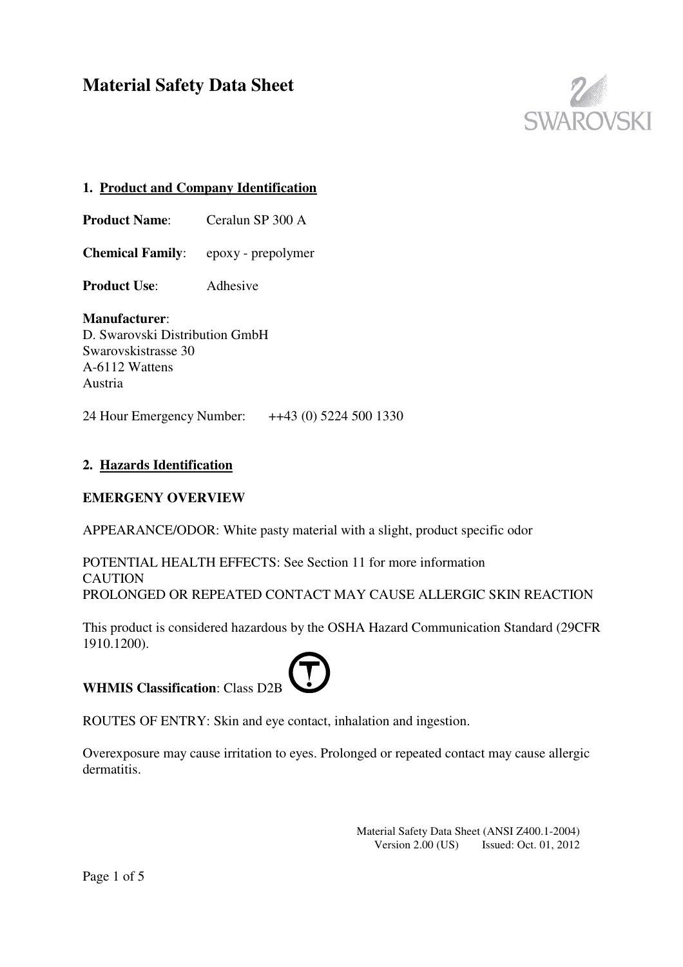

# **1. Product and Company Identification**

**Product Name:** Ceralun SP 300 A

**Chemical Family**: epoxy - prepolymer

**Product Use**: Adhesive

# **Manufacturer**:

D. Swarovski Distribution GmbH Swarovskistrasse 30 A-6112 Wattens Austria

24 Hour Emergency Number: ++43 (0) 5224 500 1330

# **2. Hazards Identification**

### **EMERGENY OVERVIEW**

APPEARANCE/ODOR: White pasty material with a slight, product specific odor

POTENTIAL HEALTH EFFECTS: See Section 11 for more information **CAUTION** PROLONGED OR REPEATED CONTACT MAY CAUSE ALLERGIC SKIN REACTION

This product is considered hazardous by the OSHA Hazard Communication Standard (29CFR 1910.1200).

# **WHMIS Classification**: Class D2B



ROUTES OF ENTRY: Skin and eye contact, inhalation and ingestion.

Overexposure may cause irritation to eyes. Prolonged or repeated contact may cause allergic dermatitis.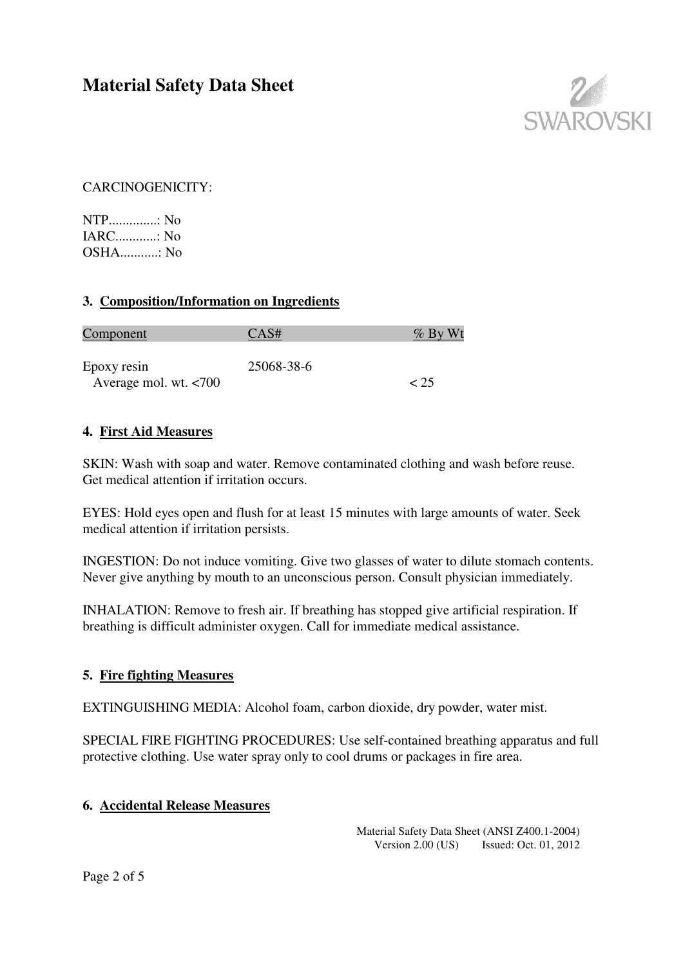

CARCINOGENICITY:

NTP..............: No  $IARC \t N_0$ OSHA...........: No

### **3. Composition/Information on Ingredients**

| <u>Component</u>      | CAS#       | $\%$ By Wt |
|-----------------------|------------|------------|
| Epoxy resin           | 25068-38-6 |            |
| Average mol. wt. <700 |            |            |

#### **4. First Aid Measures**

SKIN: Wash with soap and water. Remove contaminated clothing and wash before reuse. Get medical attention if irritation occurs.

EYES: Hold eyes open and flush for at least 15 minutes with large amounts of water. Seek medical attention if irritation persists.

INGESTION: Do not induce vomiting. Give two glasses of water to dilute stomach contents. Never give anything by mouth to an unconscious person. Consult physician immediately.

INHALATION: Remove to fresh air. If breathing has stopped give artificial respiration. If breathing is difficult administer oxygen. Call for immediate medical assistance.

### **5. Fire fighting Measures**

EXTINGUISHING MEDIA: Alcohol foam, carbon dioxide, dry powder, water mist.

SPECIAL FIRE FIGHTING PROCEDURES: Use self-contained breathing apparatus and full protective clothing. Use water spray only to cool drums or packages in fire area.

#### **6. Accidental Release Measures**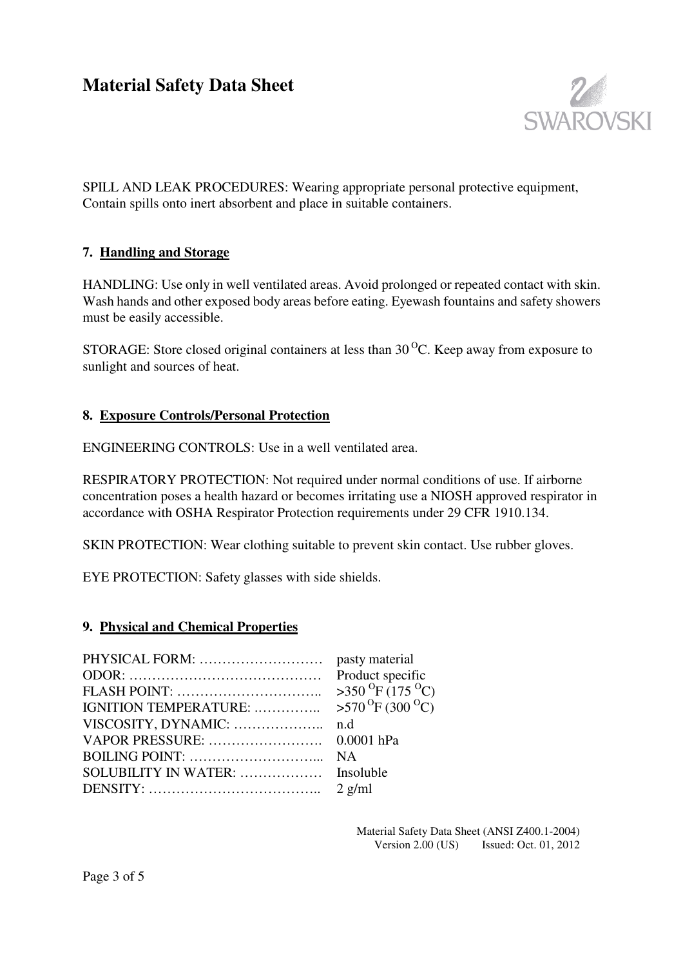

SPILL AND LEAK PROCEDURES: Wearing appropriate personal protective equipment, Contain spills onto inert absorbent and place in suitable containers.

### **7. Handling and Storage**

HANDLING: Use only in well ventilated areas. Avoid prolonged or repeated contact with skin. Wash hands and other exposed body areas before eating. Eyewash fountains and safety showers must be easily accessible.

STORAGE: Store closed original containers at less than  $30<sup>o</sup>C$ . Keep away from exposure to sunlight and sources of heat.

#### **8. Exposure Controls/Personal Protection**

ENGINEERING CONTROLS: Use in a well ventilated area.

RESPIRATORY PROTECTION: Not required under normal conditions of use. If airborne concentration poses a health hazard or becomes irritating use a NIOSH approved respirator in accordance with OSHA Respirator Protection requirements under 29 CFR 1910.134.

SKIN PROTECTION: Wear clothing suitable to prevent skin contact. Use rubber gloves.

EYE PROTECTION: Safety glasses with side shields.

#### **9. Physical and Chemical Properties**

|                       | Product specific                           |
|-----------------------|--------------------------------------------|
|                       | $>350$ <sup>O</sup> F (175 <sup>O</sup> C) |
| IGNITION TEMPERATURE: | $>570$ <sup>O</sup> F (300 <sup>O</sup> C) |
| VISCOSITY, DYNAMIC:   | n.d                                        |
| VAPOR PRESSURE:       | $0.0001$ hPa                               |
|                       | <b>NA</b>                                  |
| SOLUBILITY IN WATER:  | Insoluble                                  |
|                       |                                            |
|                       |                                            |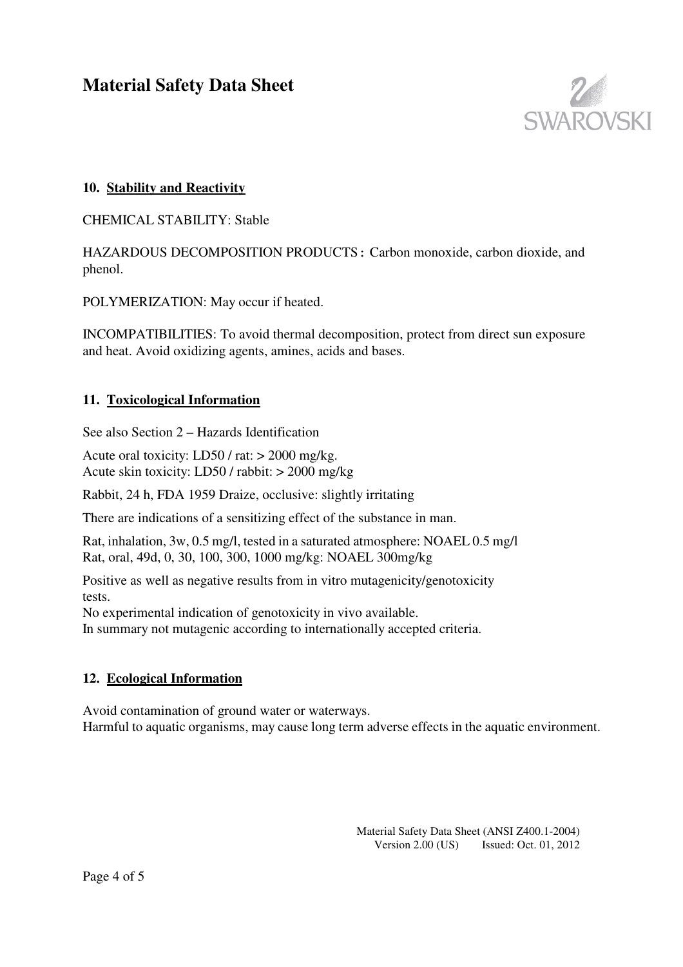

# **10. Stability and Reactivity**

CHEMICAL STABILITY: Stable

HAZARDOUS DECOMPOSITION PRODUCTS**:** Carbon monoxide, carbon dioxide, and phenol.

POLYMERIZATION: May occur if heated.

INCOMPATIBILITIES: To avoid thermal decomposition, protect from direct sun exposure and heat. Avoid oxidizing agents, amines, acids and bases.

### **11. Toxicological Information**

See also Section 2 – Hazards Identification

Acute oral toxicity: LD50 / rat: > 2000 mg/kg. Acute skin toxicity: LD50 / rabbit: > 2000 mg/kg

Rabbit, 24 h, FDA 1959 Draize, occlusive: slightly irritating

There are indications of a sensitizing effect of the substance in man.

Rat, inhalation, 3w, 0.5 mg/l, tested in a saturated atmosphere: NOAEL 0.5 mg/l Rat, oral, 49d, 0, 30, 100, 300, 1000 mg/kg: NOAEL 300mg/kg

Positive as well as negative results from in vitro mutagenicity/genotoxicity tests.

No experimental indication of genotoxicity in vivo available.

In summary not mutagenic according to internationally accepted criteria.

### **12. Ecological Information**

Avoid contamination of ground water or waterways. Harmful to aquatic organisms, may cause long term adverse effects in the aquatic environment.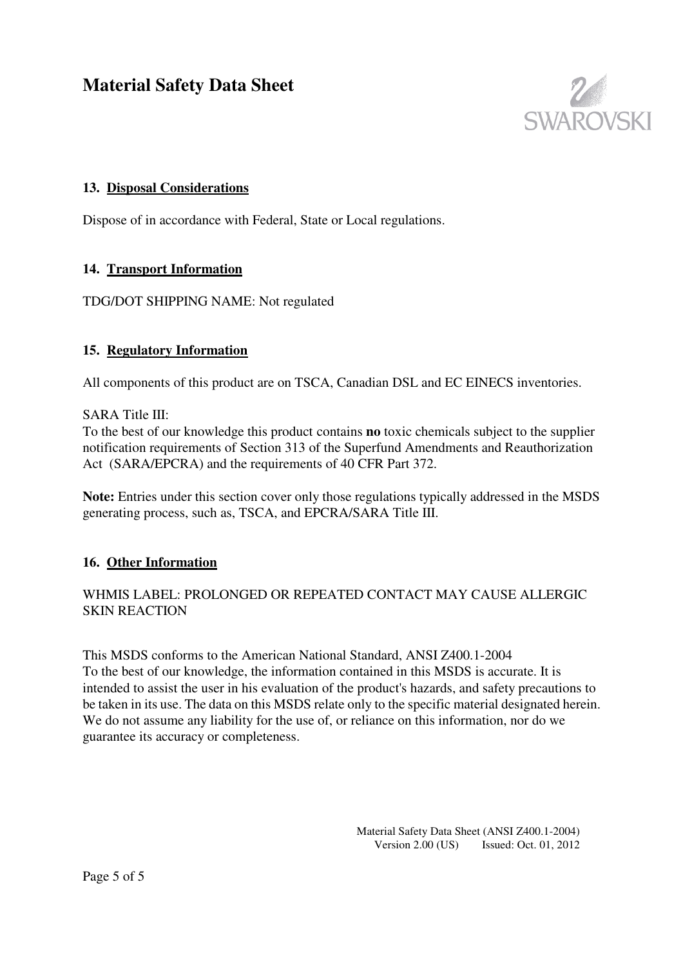

# **13. Disposal Considerations**

Dispose of in accordance with Federal, State or Local regulations.

### **14. Transport Information**

TDG/DOT SHIPPING NAME: Not regulated

### **15. Regulatory Information**

All components of this product are on TSCA, Canadian DSL and EC EINECS inventories.

#### SARA Title III:

To the best of our knowledge this product contains **no** toxic chemicals subject to the supplier notification requirements of Section 313 of the Superfund Amendments and Reauthorization Act (SARA/EPCRA) and the requirements of 40 CFR Part 372.

**Note:** Entries under this section cover only those regulations typically addressed in the MSDS generating process, such as, TSCA, and EPCRA/SARA Title III.

### **16. Other Information**

### WHMIS LABEL: PROLONGED OR REPEATED CONTACT MAY CAUSE ALLERGIC SKIN REACTION

This MSDS conforms to the American National Standard, ANSI Z400.1-2004 To the best of our knowledge, the information contained in this MSDS is accurate. It is intended to assist the user in his evaluation of the product's hazards, and safety precautions to be taken in its use. The data on this MSDS relate only to the specific material designated herein. We do not assume any liability for the use of, or reliance on this information, nor do we guarantee its accuracy or completeness.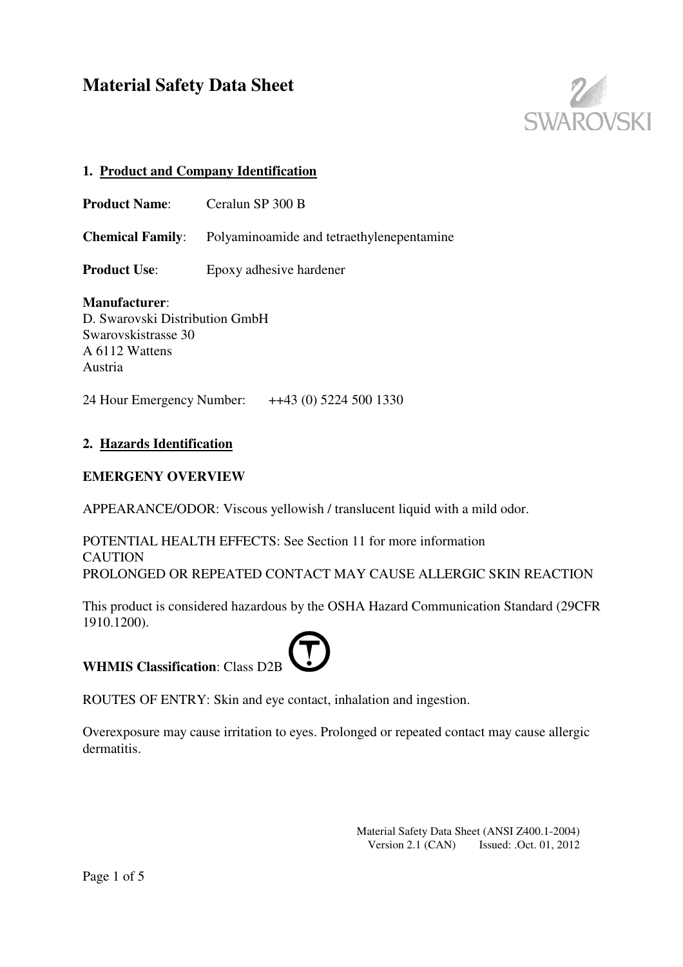

## **1. Product and Company Identification**

**Product Name:** Ceralun SP 300 B

**Chemical Family**: Polyaminoamide and tetraethylenepentamine

**Product Use:** Epoxy adhesive hardener

**Manufacturer**: D. Swarovski Distribution GmbH Swarovskistrasse 30 A 6112 Wattens Austria

24 Hour Emergency Number: ++43 (0) 5224 500 1330

### **2. Hazards Identification**

### **EMERGENY OVERVIEW**

APPEARANCE/ODOR: Viscous yellowish / translucent liquid with a mild odor.

POTENTIAL HEALTH EFFECTS: See Section 11 for more information CAUTION PROLONGED OR REPEATED CONTACT MAY CAUSE ALLERGIC SKIN REACTION

This product is considered hazardous by the OSHA Hazard Communication Standard (29CFR 1910.1200).

|  |  | <b>WHMIS Classification: Class D2B</b> |  |
|--|--|----------------------------------------|--|
|--|--|----------------------------------------|--|

ROUTES OF ENTRY: Skin and eye contact, inhalation and ingestion.

Overexposure may cause irritation to eyes. Prolonged or repeated contact may cause allergic dermatitis.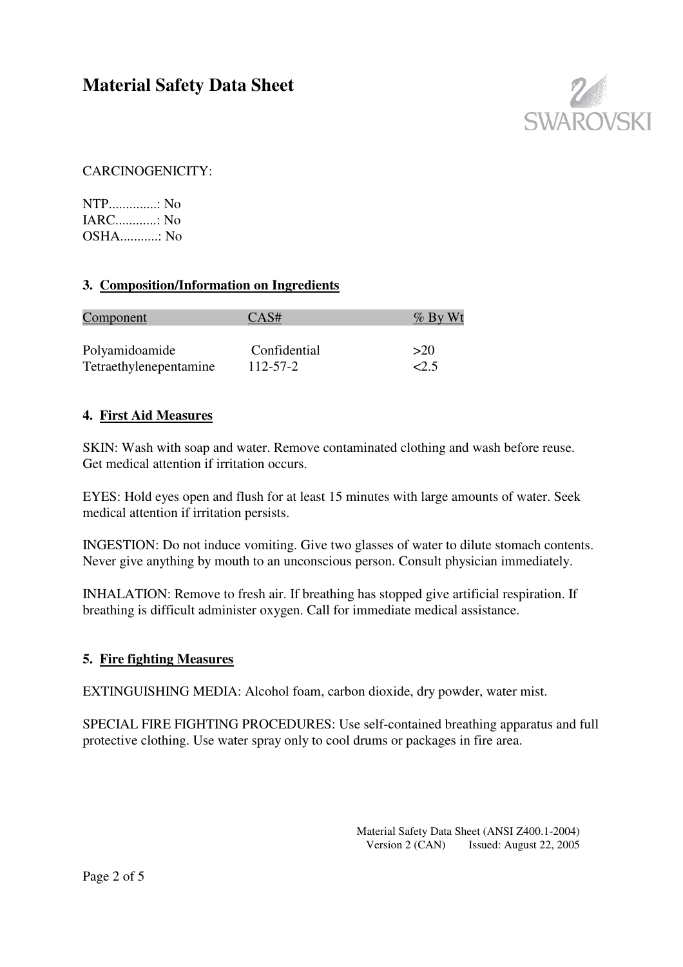

# CARCINOGENICITY:

NTP..............: No IARC............: No OSHA...........: No

# **3. Composition/Information on Ingredients**

| <u>Component</u>       | CAS#         | $\%$ By Wt |
|------------------------|--------------|------------|
| Polyamidoamide         | Confidential | >20        |
| Tetraethylenepentamine | 112-57-2     | 2.5        |

### **4. First Aid Measures**

SKIN: Wash with soap and water. Remove contaminated clothing and wash before reuse. Get medical attention if irritation occurs.

EYES: Hold eyes open and flush for at least 15 minutes with large amounts of water. Seek medical attention if irritation persists.

INGESTION: Do not induce vomiting. Give two glasses of water to dilute stomach contents. Never give anything by mouth to an unconscious person. Consult physician immediately.

INHALATION: Remove to fresh air. If breathing has stopped give artificial respiration. If breathing is difficult administer oxygen. Call for immediate medical assistance.

### **5. Fire fighting Measures**

EXTINGUISHING MEDIA: Alcohol foam, carbon dioxide, dry powder, water mist.

SPECIAL FIRE FIGHTING PROCEDURES: Use self-contained breathing apparatus and full protective clothing. Use water spray only to cool drums or packages in fire area.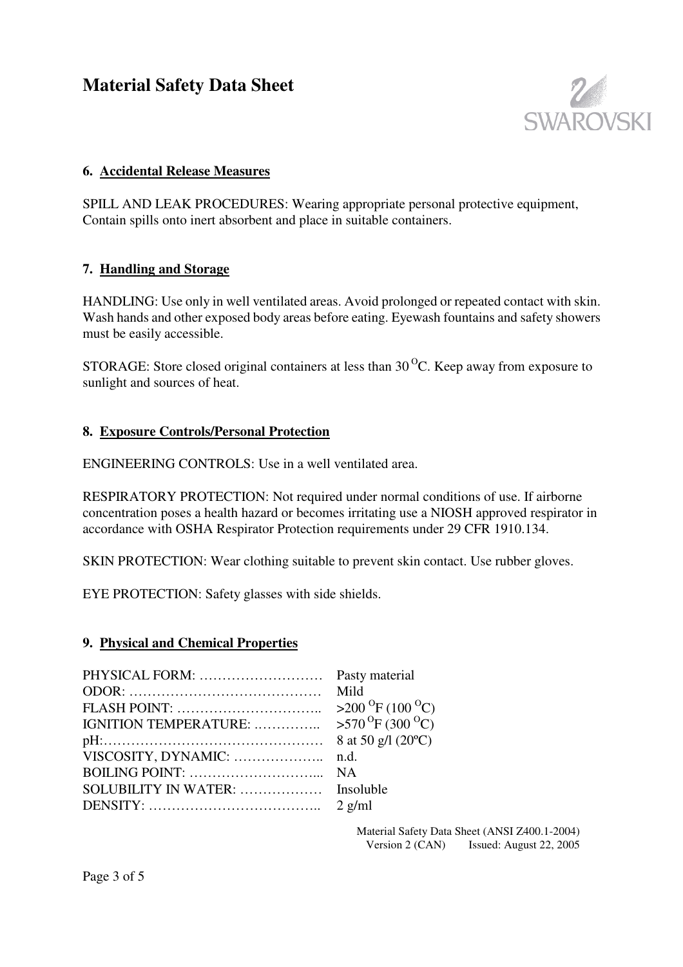

### **6. Accidental Release Measures**

SPILL AND LEAK PROCEDURES: Wearing appropriate personal protective equipment, Contain spills onto inert absorbent and place in suitable containers.

#### **7. Handling and Storage**

HANDLING: Use only in well ventilated areas. Avoid prolonged or repeated contact with skin. Wash hands and other exposed body areas before eating. Eyewash fountains and safety showers must be easily accessible.

STORAGE: Store closed original containers at less than  $30<sup>o</sup>C$ . Keep away from exposure to sunlight and sources of heat.

### **8. Exposure Controls/Personal Protection**

ENGINEERING CONTROLS: Use in a well ventilated area.

RESPIRATORY PROTECTION: Not required under normal conditions of use. If airborne concentration poses a health hazard or becomes irritating use a NIOSH approved respirator in accordance with OSHA Respirator Protection requirements under 29 CFR 1910.134.

SKIN PROTECTION: Wear clothing suitable to prevent skin contact. Use rubber gloves.

EYE PROTECTION: Safety glasses with side shields.

#### **9. Physical and Chemical Properties**

|                                                                        | Mild                                       |
|------------------------------------------------------------------------|--------------------------------------------|
|                                                                        | $>200$ <sup>O</sup> F (100 <sup>O</sup> C) |
| IGNITION TEMPERATURE:                                                  | $>570$ <sup>O</sup> F (300 <sup>O</sup> C) |
|                                                                        | 8 at 50 g/l $(20^{\circ}C)$                |
| VISCOSITY, DYNAMIC:                                                    | n.d.                                       |
| BOILING POINT: $\dots \dots \dots \dots \dots \dots \dots \dots \dots$ | <b>NA</b>                                  |
|                                                                        |                                            |
|                                                                        |                                            |
|                                                                        |                                            |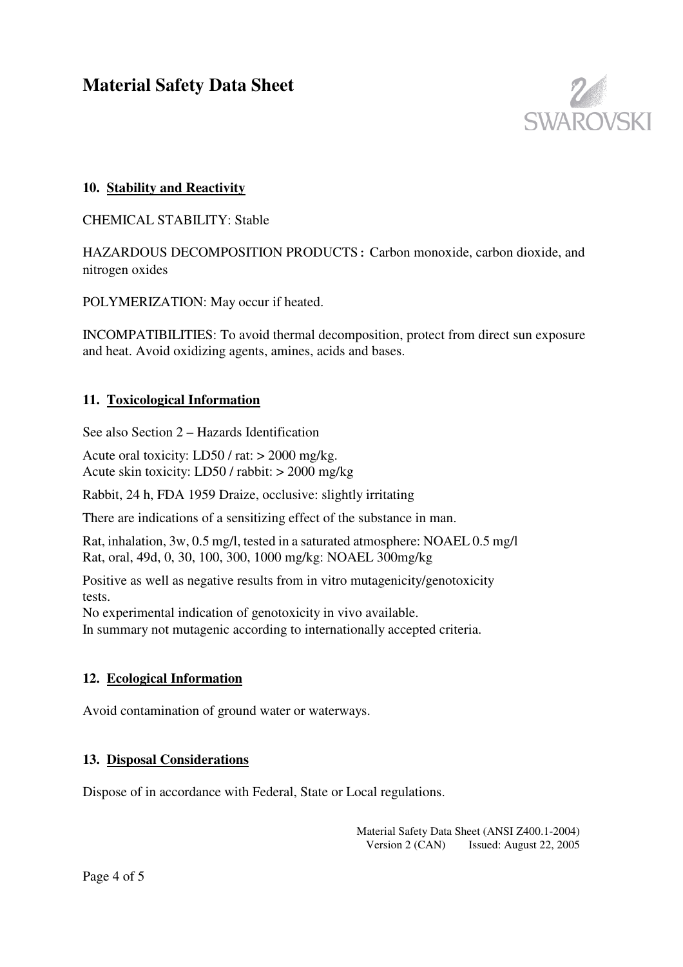

# **10. Stability and Reactivity**

CHEMICAL STABILITY: Stable

HAZARDOUS DECOMPOSITION PRODUCTS**:** Carbon monoxide, carbon dioxide, and nitrogen oxides

POLYMERIZATION: May occur if heated.

INCOMPATIBILITIES: To avoid thermal decomposition, protect from direct sun exposure and heat. Avoid oxidizing agents, amines, acids and bases.

### **11. Toxicological Information**

See also Section 2 – Hazards Identification

Acute oral toxicity: LD50 / rat: > 2000 mg/kg. Acute skin toxicity: LD50 / rabbit: > 2000 mg/kg

Rabbit, 24 h, FDA 1959 Draize, occlusive: slightly irritating

There are indications of a sensitizing effect of the substance in man.

Rat, inhalation, 3w, 0.5 mg/l, tested in a saturated atmosphere: NOAEL 0.5 mg/l Rat, oral, 49d, 0, 30, 100, 300, 1000 mg/kg: NOAEL 300mg/kg

Positive as well as negative results from in vitro mutagenicity/genotoxicity tests.

No experimental indication of genotoxicity in vivo available.

In summary not mutagenic according to internationally accepted criteria.

### **12. Ecological Information**

Avoid contamination of ground water or waterways.

### **13. Disposal Considerations**

Dispose of in accordance with Federal, State or Local regulations.